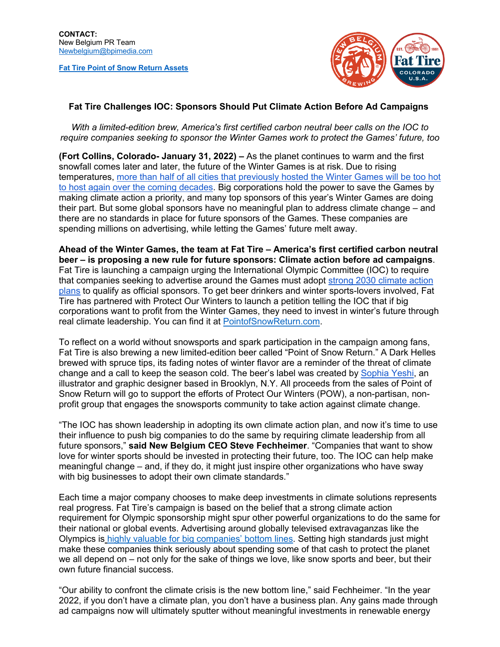**Fat Tire Point of Snow Return Assets**



## **Fat Tire Challenges IOC: Sponsors Should Put Climate Action Before Ad Campaigns**

*With a limited-edition brew, America's first certified carbon neutral beer calls on the IOC to require companies seeking to sponsor the Winter Games work to protect the Games' future, too*

**(Fort Collins, Colorado- January 31, 2022) –** As the planet continues to warm and the first snowfall comes later and later, the future of the Winter Games is at risk. Due to rising temperatures, more than half of all cities that previously hosted the Winter Games will be too hot to host again over the coming decades. Big corporations hold the power to save the Games by making climate action a priority, and many top sponsors of this year's Winter Games are doing their part. But some global sponsors have no meaningful plan to address climate change – and there are no standards in place for future sponsors of the Games. These companies are spending millions on advertising, while letting the Games' future melt away.

**Ahead of the Winter Games, the team at Fat Tire – America's first certified carbon neutral beer – is proposing a new rule for future sponsors: Climate action before ad campaigns**. Fat Tire is launching a campaign urging the International Olympic Committee (IOC) to require that companies seeking to advertise around the Games must adopt strong 2030 climate action plans to qualify as official sponsors. To get beer drinkers and winter sports-lovers involved, Fat Tire has partnered with Protect Our Winters to launch a petition telling the IOC that if big corporations want to profit from the Winter Games, they need to invest in winter's future through real climate leadership. You can find it at PointofSnowReturn.com.

To reflect on a world without snowsports and spark participation in the campaign among fans, Fat Tire is also brewing a new limited-edition beer called "Point of Snow Return." A Dark Helles brewed with spruce tips, its fading notes of winter flavor are a reminder of the threat of climate change and a call to keep the season cold. The beer's label was created by Sophia Yeshi, an illustrator and graphic designer based in Brooklyn, N.Y. All proceeds from the sales of Point of Snow Return will go to support the efforts of Protect Our Winters (POW), a non-partisan, nonprofit group that engages the snowsports community to take action against climate change.

"The IOC has shown leadership in adopting its own climate action plan, and now it's time to use their influence to push big companies to do the same by requiring climate leadership from all future sponsors," **said New Belgium CEO Steve Fechheimer**. "Companies that want to show love for winter sports should be invested in protecting their future, too. The IOC can help make meaningful change – and, if they do, it might just inspire other organizations who have sway with big businesses to adopt their own climate standards."

Each time a major company chooses to make deep investments in climate solutions represents real progress. Fat Tire's campaign is based on the belief that a strong climate action requirement for Olympic sponsorship might spur other powerful organizations to do the same for their national or global events. Advertising around globally televised extravaganzas like the Olympics is highly valuable for big companies' bottom lines. Setting high standards just might make these companies think seriously about spending some of that cash to protect the planet we all depend on – not only for the sake of things we love, like snow sports and beer, but their own future financial success.

"Our ability to confront the climate crisis is the new bottom line," said Fechheimer. "In the year 2022, if you don't have a climate plan, you don't have a business plan. Any gains made through ad campaigns now will ultimately sputter without meaningful investments in renewable energy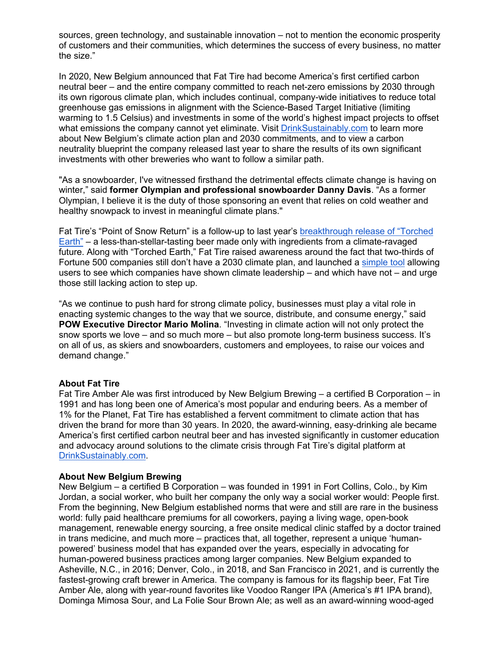sources, green technology, and sustainable innovation – not to mention the economic prosperity of customers and their communities, which determines the success of every business, no matter the size."

In 2020, New Belgium announced that Fat Tire had become America's first certified carbon neutral beer – and the entire company committed to reach net-zero emissions by 2030 through its own rigorous climate plan, which includes continual, company-wide initiatives to reduce total greenhouse gas emissions in alignment with the Science-Based Target Initiative (limiting warming to 1.5 Celsius) and investments in some of the world's highest impact projects to offset what emissions the company cannot yet eliminate. Visit DrinkSustainably.com to learn more about New Belgium's climate action plan and 2030 commitments, and to view a carbon neutrality blueprint the company released last year to share the results of its own significant investments with other breweries who want to follow a similar path.

"As a snowboarder, I've witnessed firsthand the detrimental effects climate change is having on winter," said **former Olympian and professional snowboarder Danny Davis**. "As a former Olympian, I believe it is the duty of those sponsoring an event that relies on cold weather and healthy snowpack to invest in meaningful climate plans."

Fat Tire's "Point of Snow Return" is a follow-up to last year's breakthrough release of "Torched Earth" – a less-than-stellar-tasting beer made only with ingredients from a climate-ravaged future. Along with "Torched Earth," Fat Tire raised awareness around the fact that two-thirds of Fortune 500 companies still don't have a 2030 climate plan, and launched a simple tool allowing users to see which companies have shown climate leadership – and which have not – and urge those still lacking action to step up.

"As we continue to push hard for strong climate policy, businesses must play a vital role in enacting systemic changes to the way that we source, distribute, and consume energy," said **POW Executive Director Mario Molina**. "Investing in climate action will not only protect the snow sports we love – and so much more – but also promote long-term business success. It's on all of us, as skiers and snowboarders, customers and employees, to raise our voices and demand change."

## **About Fat Tire**

Fat Tire Amber Ale was first introduced by New Belgium Brewing – a certified B Corporation – in 1991 and has long been one of America's most popular and enduring beers. As a member of 1% for the Planet, Fat Tire has established a fervent commitment to climate action that has driven the brand for more than 30 years. In 2020, the award-winning, easy-drinking ale became America's first certified carbon neutral beer and has invested significantly in customer education and advocacy around solutions to the climate crisis through Fat Tire's digital platform at DrinkSustainably.com.

## **About New Belgium Brewing**

New Belgium – a certified B Corporation – was founded in 1991 in Fort Collins, Colo., by Kim Jordan, a social worker, who built her company the only way a social worker would: People first. From the beginning, New Belgium established norms that were and still are rare in the business world: fully paid healthcare premiums for all coworkers, paying a living wage, open-book management, renewable energy sourcing, a free onsite medical clinic staffed by a doctor trained in trans medicine, and much more – practices that, all together, represent a unique 'humanpowered' business model that has expanded over the years, especially in advocating for human-powered business practices among larger companies. New Belgium expanded to Asheville, N.C., in 2016; Denver, Colo., in 2018, and San Francisco in 2021, and is currently the fastest-growing craft brewer in America. The company is famous for its flagship beer, Fat Tire Amber Ale, along with year-round favorites like Voodoo Ranger IPA (America's #1 IPA brand), Dominga Mimosa Sour, and La Folie Sour Brown Ale; as well as an award-winning wood-aged